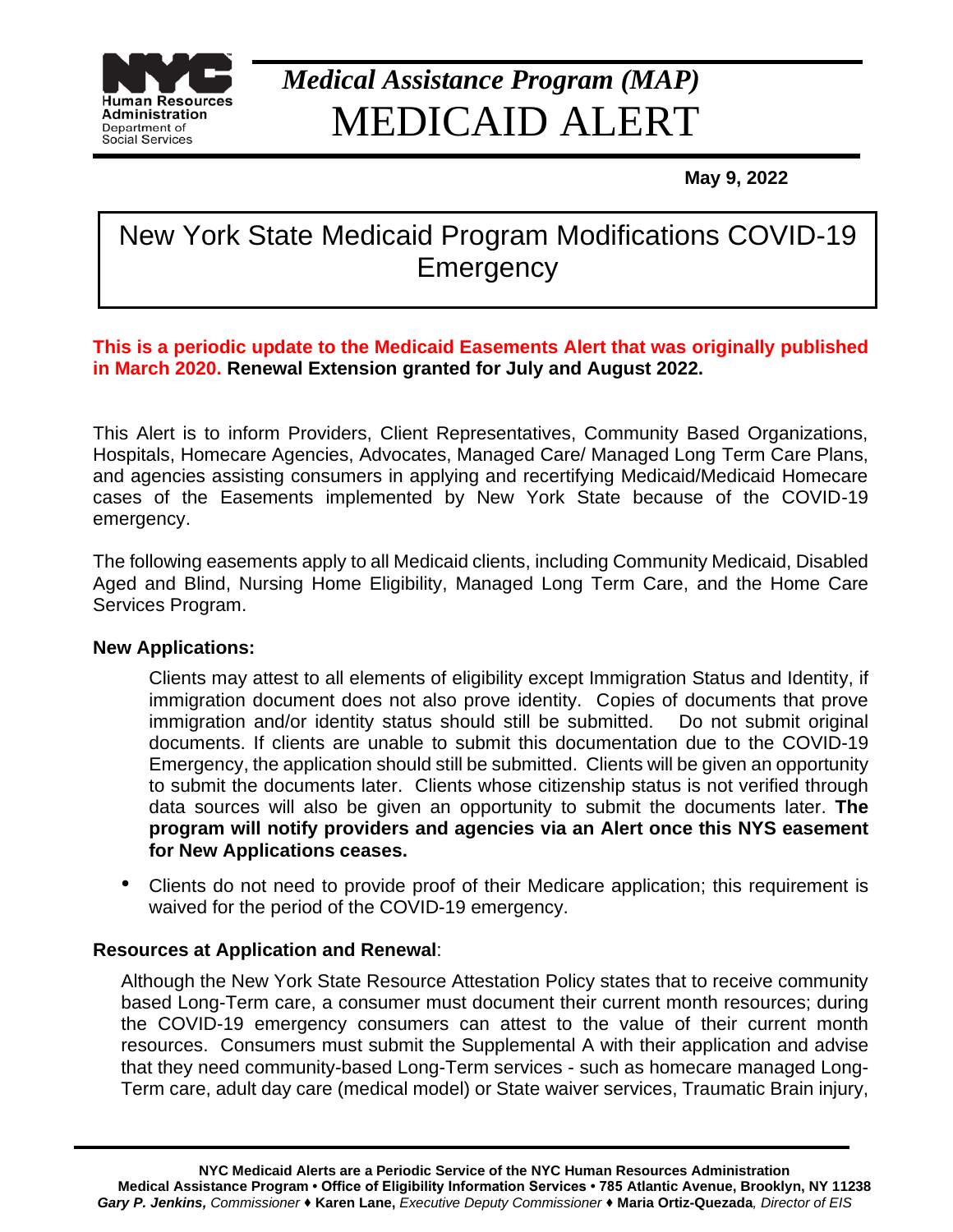

# *Medical Assistance Program (MAP)* MEDICAID ALERT

 **May 9, 2022** 

## New York State Medicaid Program Modifications COVID-19 **Emergency**

#### **This is a periodic update to the Medicaid Easements Alert that was originally published in March 2020. Renewal Extension granted for July and August 2022.**

This Alert is to inform Providers, Client Representatives, Community Based Organizations, Hospitals, Homecare Agencies, Advocates, Managed Care/ Managed Long Term Care Plans, and agencies assisting consumers in applying and recertifying Medicaid/Medicaid Homecare cases of the Easements implemented by New York State because of the COVID-19 emergency.

The following easements apply to all Medicaid clients, including Community Medicaid, Disabled Aged and Blind, Nursing Home Eligibility, Managed Long Term Care, and the Home Care Services Program.

#### **New Applications:**

Clients may attest to all elements of eligibility except Immigration Status and Identity, if immigration document does not also prove identity. Copies of documents that prove immigration and/or identity status should still be submitted. Do not submit original documents. If clients are unable to submit this documentation due to the COVID-19 Emergency, the application should still be submitted. Clients will be given an opportunity to submit the documents later. Clients whose citizenship status is not verified through data sources will also be given an opportunity to submit the documents later. **The program will notify providers and agencies via an Alert once this NYS easement for New Applications ceases.** 

• Clients do not need to provide proof of their Medicare application; this requirement is waived for the period of the COVID-19 emergency.

#### **Resources at Application and Renewal**:

Although the New York State Resource Attestation Policy states that to receive community based Long-Term care, a consumer must document their current month resources; during the COVID-19 emergency consumers can attest to the value of their current month resources. Consumers must submit the Supplemental A with their application and advise that they need community-based Long-Term services - such as homecare managed Long-Term care, adult day care (medical model) or State waiver services, Traumatic Brain injury,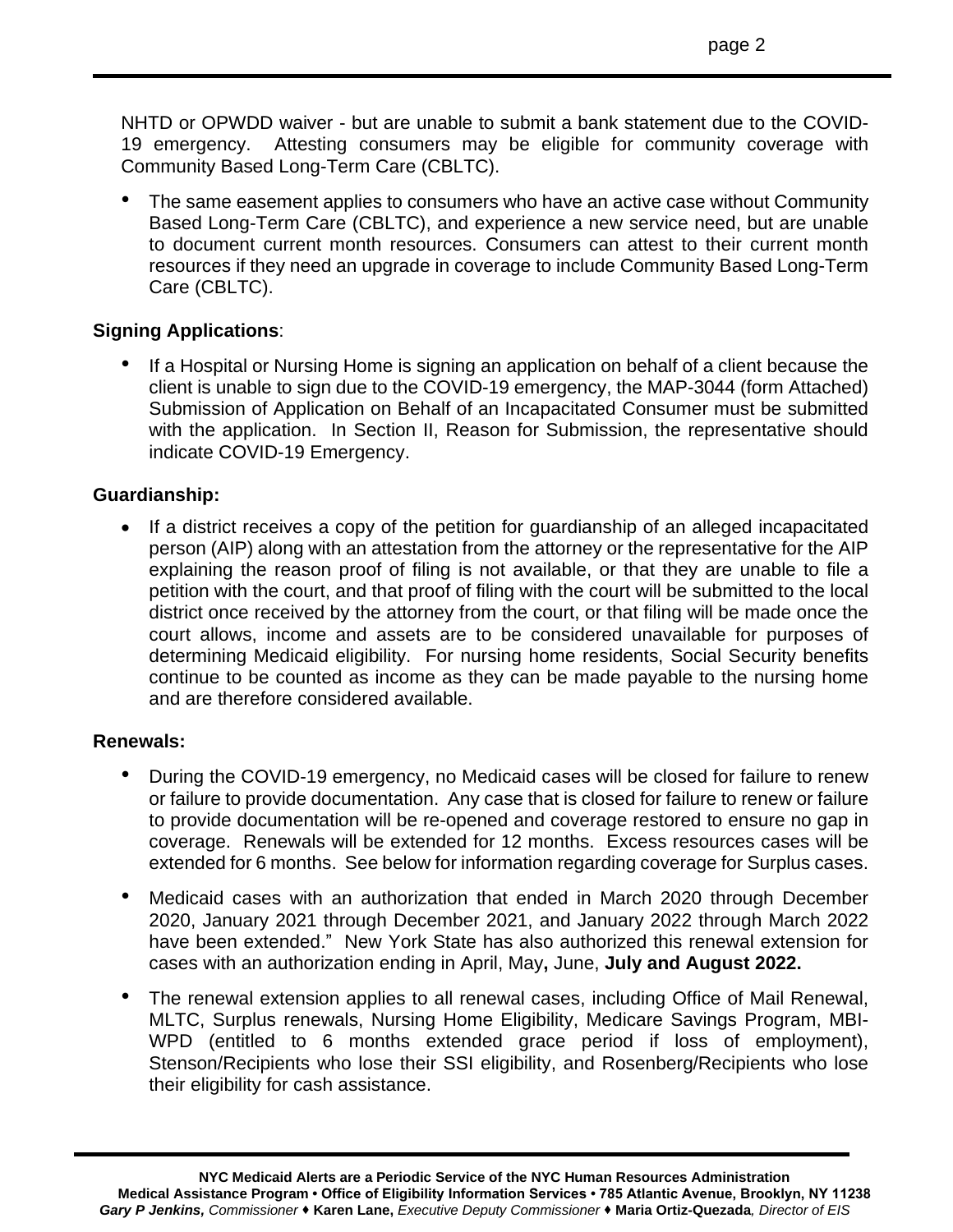NHTD or OPWDD waiver - but are unable to submit a bank statement due to the COVID-19 emergency. Attesting consumers may be eligible for community coverage with Community Based Long-Term Care (CBLTC).

• The same easement applies to consumers who have an active case without Community Based Long-Term Care (CBLTC), and experience a new service need, but are unable to document current month resources. Consumers can attest to their current month resources if they need an upgrade in coverage to include Community Based Long-Term Care (CBLTC).

#### **Signing Applications**:

If a Hospital or Nursing Home is signing an application on behalf of a client because the client is unable to sign due to the COVID-19 emergency, the MAP-3044 (form Attached) Submission of Application on Behalf of an Incapacitated Consumer must be submitted with the application. In Section II, Reason for Submission, the representative should indicate COVID-19 Emergency.

#### **Guardianship:**

• If a district receives a copy of the petition for guardianship of an alleged incapacitated person (AIP) along with an attestation from the attorney or the representative for the AIP explaining the reason proof of filing is not available, or that they are unable to file a petition with the court, and that proof of filing with the court will be submitted to the local district once received by the attorney from the court, or that filing will be made once the court allows, income and assets are to be considered unavailable for purposes of determining Medicaid eligibility. For nursing home residents, Social Security benefits continue to be counted as income as they can be made payable to the nursing home and are therefore considered available.

#### **Renewals:**

- During the COVID-19 emergency, no Medicaid cases will be closed for failure to renew or failure to provide documentation. Any case that is closed for failure to renew or failure to provide documentation will be re-opened and coverage restored to ensure no gap in coverage. Renewals will be extended for 12 months. Excess resources cases will be extended for 6 months. See below for information regarding coverage for Surplus cases.
- Medicaid cases with an authorization that ended in March 2020 through December 2020, January 2021 through December 2021, and January 2022 through March 2022 have been extended." New York State has also authorized this renewal extension for cases with an authorization ending in April, May**,** June, **July and August 2022.**
- The renewal extension applies to all renewal cases, including Office of Mail Renewal, MLTC, Surplus renewals, Nursing Home Eligibility, Medicare Savings Program, MBI-WPD (entitled to 6 months extended grace period if loss of employment), Stenson/Recipients who lose their SSI eligibility, and Rosenberg/Recipients who lose their eligibility for cash assistance.